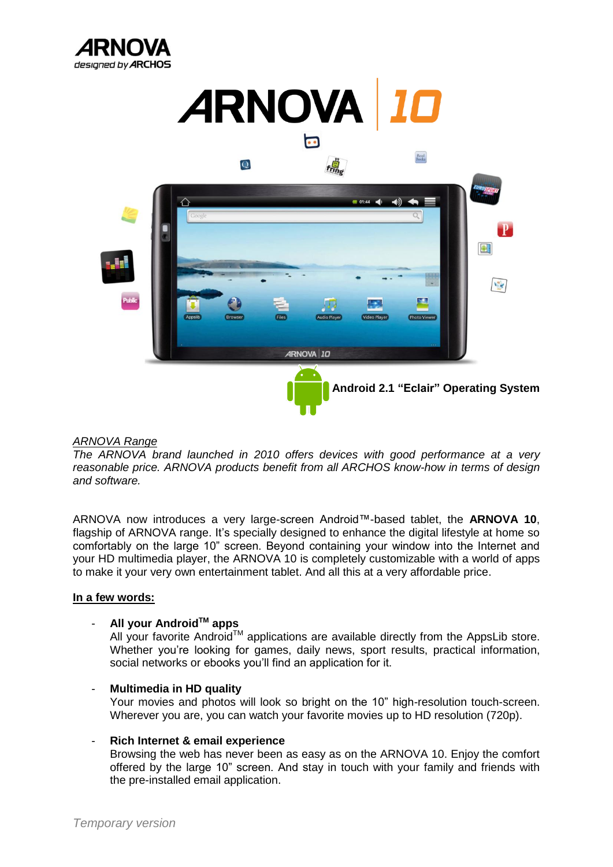





## *ARNOVA Range*

*The ARNOVA brand launched in 2010 offers devices with good performance at a very reasonable price. ARNOVA products benefit from all ARCHOS know-how in terms of design and software.*

ARNOVA now introduces a very large-screen Android™-based tablet, the **ARNOVA 10**, flagship of ARNOVA range. It's specially designed to enhance the digital lifestyle at home so comfortably on the large 10" screen. Beyond containing your window into the Internet and your HD multimedia player, the ARNOVA 10 is completely customizable with a world of apps to make it your very own entertainment tablet. And all this at a very affordable price.

#### **In a few words:**

## - **All your AndroidTM apps**

All your favorite Android<sup>TM</sup> applications are available directly from the AppsLib store. Whether you're looking for games, daily news, sport results, practical information, social networks or ebooks you'll find an application for it.

#### - **Multimedia in HD quality**

Your movies and photos will look so bright on the 10" high-resolution touch-screen. Wherever you are, you can watch your favorite movies up to HD resolution (720p).

#### - **Rich Internet & email experience**

Browsing the web has never been as easy as on the ARNOVA 10. Enjoy the comfort offered by the large 10" screen. And stay in touch with your family and friends with the pre-installed email application.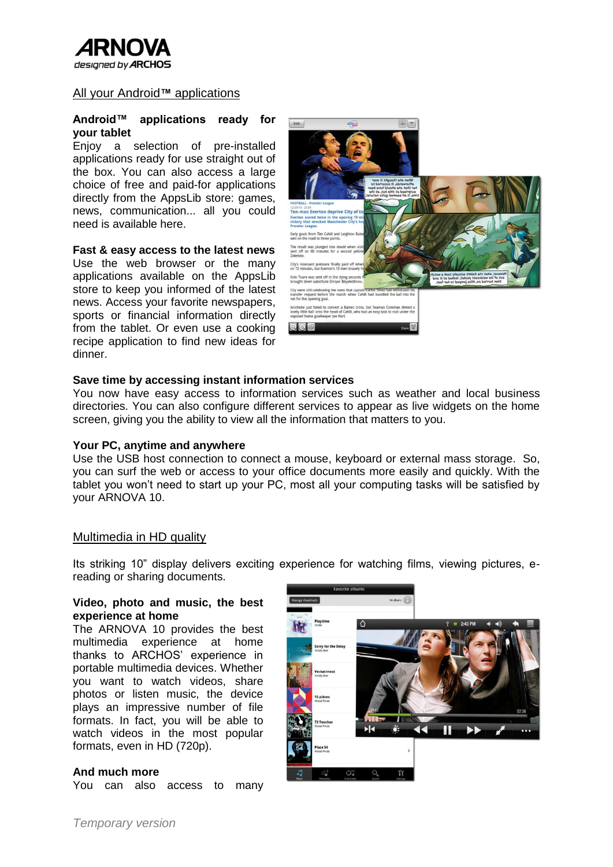

### All your Android**™** applications

#### **Android™ applications ready for your tablet**

Enjoy a selection of pre-installed applications ready for use straight out of the box. You can also access a large choice of free and paid-for applications directly from the AppsLib store: games, news, communication... all you could need is available here.

#### **Fast & easy access to the latest news**

Use the web browser or the many applications available on the AppsLib store to keep you informed of the latest news. Access your favorite newspapers, sports or financial information directly from the tablet. Or even use a cooking recipe application to find new ideas for dinner.



#### **Save time by accessing instant information services**

You now have easy access to information services such as weather and local business directories. You can also configure different services to appear as live widgets on the home screen, giving you the ability to view all the information that matters to you.

#### **Your PC, anytime and anywhere**

Use the USB host connection to connect a mouse, keyboard or external mass storage. So, you can surf the web or access to your office documents more easily and quickly. With the tablet you won't need to start up your PC, most all your computing tasks will be satisfied by your ARNOVA 10.

#### Multimedia in HD quality

Its striking 10" display delivers exciting experience for watching films, viewing pictures, ereading or sharing documents.

#### **Video, photo and music, the best experience at home**

The ARNOVA 10 provides the best multimedia experience at home thanks to ARCHOS' experience in portable multimedia devices. Whether you want to watch videos, share photos or listen music, the device plays an impressive number of file formats. In fact, you will be able to watch videos in the most popular formats, even in HD (720p).

#### **And much more**

You can also access to many

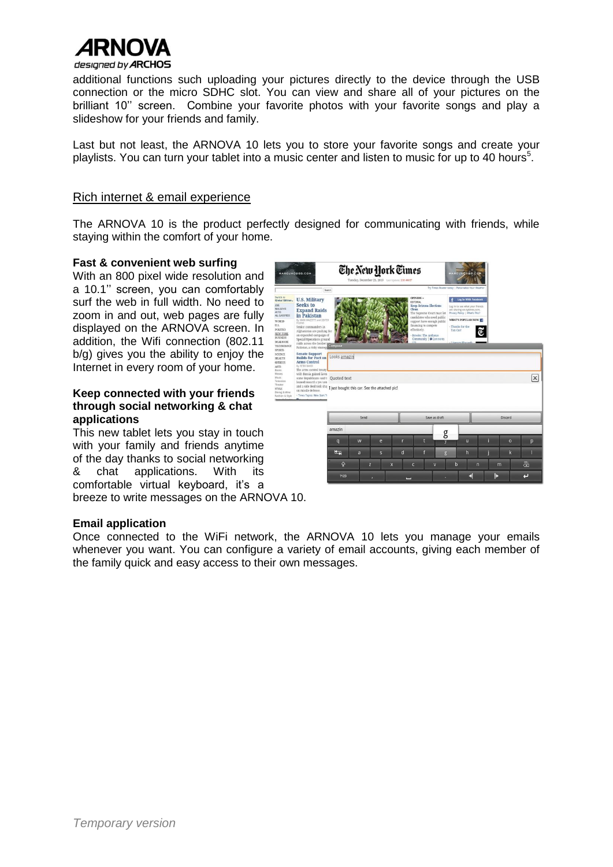

additional functions such uploading your pictures directly to the device through the USB connection or the micro SDHC slot. You can view and share all of your pictures on the brilliant 10'' screen. Combine your favorite photos with your favorite songs and play a slideshow for your friends and family.

Last but not least, the ARNOVA 10 lets you to store your favorite songs and create your playlists. You can turn your tablet into a music center and listen to music for up to 40 hours<sup>5</sup>.

### Rich internet & email experience

The ARNOVA 10 is the product perfectly designed for communicating with friends, while staying within the comfort of your home.

#### **Fast & convenient web surfing**

With an 800 pixel wide resolution and a 10.1'' screen, you can comfortably surf the web in full width. No need to zoom in and out, web pages are fully displayed on the ARNOVA screen. In addition, the Wifi connection (802.11 b/g) gives you the ability to enjoy the Internet in every room of your home.

#### **Keep connected with your friends through social networking & chat applications**

This new tablet lets you stay in touch with your family and friends anytime of the day thanks to social networking & chat applications. With its comfortable virtual keyboard, it's a breeze to write messages on the ARNOVA 10.



#### **Email application**

Once connected to the WiFi network, the ARNOVA 10 lets you manage your emails whenever you want. You can configure a variety of email accounts, giving each member of the family quick and easy access to their own messages.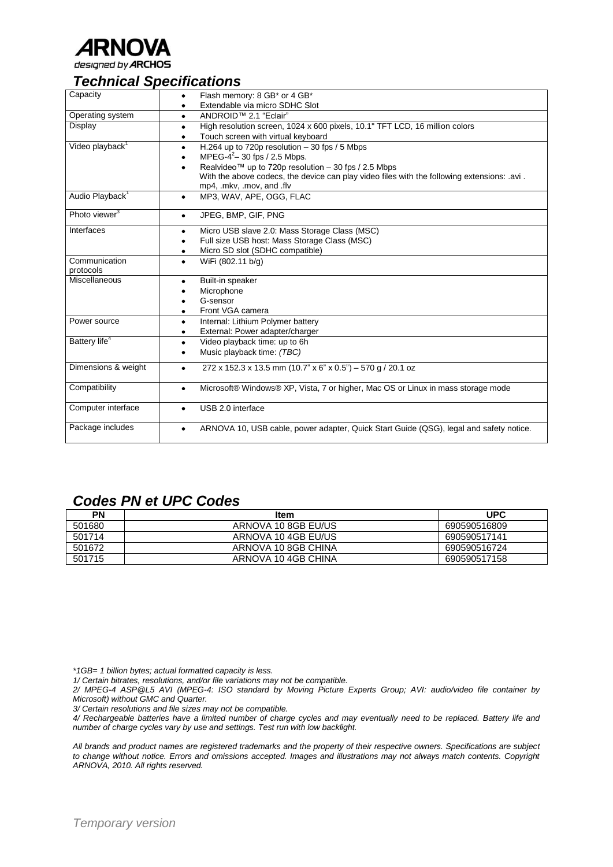

# *Technical Specifications*

| Capacity                    | Flash memory: 8 GB* or 4 GB*<br>$\bullet$                                                           |
|-----------------------------|-----------------------------------------------------------------------------------------------------|
|                             | Extendable via micro SDHC Slot                                                                      |
| Operating system            | ANDROID <sup>™</sup> 2.1 "Eclair"<br>$\bullet$                                                      |
| Display                     | High resolution screen, 1024 x 600 pixels, 10.1" TFT LCD, 16 million colors<br>٠                    |
|                             | Touch screen with virtual keyboard<br>۰                                                             |
| Video playback <sup>1</sup> | H.264 up to 720p resolution $-30$ fps / 5 Mbps<br>٠                                                 |
|                             | MPEG-4 <sup>2</sup> -30 fps / 2.5 Mbps.                                                             |
|                             | Realvideo™ up to 720p resolution $-$ 30 fps / 2.5 Mbps                                              |
|                             | With the above codecs, the device can play video files with the following extensions: .avi.         |
|                             | mp4, .mkv, .mov, and .flv                                                                           |
| Audio Playback <sup>1</sup> | MP3, WAV, APE, OGG, FLAC<br>٠                                                                       |
| Photo viewer <sup>3</sup>   | JPEG, BMP, GIF, PNG<br>$\bullet$                                                                    |
| Interfaces                  | Micro USB slave 2.0: Mass Storage Class (MSC)<br>٠                                                  |
|                             | Full size USB host: Mass Storage Class (MSC)                                                        |
|                             | Micro SD slot (SDHC compatible)<br>٠                                                                |
| Communication               | WiFi (802.11 b/g)<br>$\bullet$                                                                      |
| protocols                   |                                                                                                     |
| Miscellaneous               | Built-in speaker                                                                                    |
|                             | Microphone                                                                                          |
|                             | G-sensor                                                                                            |
|                             | Front VGA camera                                                                                    |
| Power source                | Internal: Lithium Polymer battery<br>$\bullet$                                                      |
|                             | External: Power adapter/charger<br>٠                                                                |
| Battery life <sup>4</sup>   | Video playback time: up to 6h<br>٠                                                                  |
|                             | Music playback time: (TBC)<br>٠                                                                     |
| Dimensions & weight         | 272 x 152.3 x 13.5 mm (10.7" x 6" x 0.5") - 570 g / 20.1 oz<br>$\bullet$                            |
| Compatibility               | Microsoft® Windows® XP, Vista, 7 or higher, Mac OS or Linux in mass storage mode<br>$\bullet$       |
| Computer interface          | USB 2.0 interface<br>$\bullet$                                                                      |
| Package includes            | ARNOVA 10, USB cable, power adapter, Quick Start Guide (QSG), legal and safety notice.<br>$\bullet$ |

# *Codes PN et UPC Codes*

| PN     | <b>Item</b>         | <b>UPC</b>   |
|--------|---------------------|--------------|
| 501680 | ARNOVA 10 8GB EU/US | 690590516809 |
| 501714 | ARNOVA 10 4GB EU/US | 690590517141 |
| 501672 | ARNOVA 10 8GB CHINA | 690590516724 |
| 501715 | ARNOVA 10 4GB CHINA | 690590517158 |

*\*1GB= 1 billion bytes; actual formatted capacity is less.*

*1/ Certain bitrates, resolutions, and/or file variations may not be compatible.*

*2/ MPEG-4 ASP@L5 AVI (MPEG-4: ISO standard by Moving Picture Experts Group; AVI: audio/video file container by Microsoft) without GMC and Quarter.*

*3/ Certain resolutions and file sizes may not be compatible.*

*4/ Rechargeable batteries have a limited number of charge cycles and may eventually need to be replaced. Battery life and number of charge cycles vary by use and settings. Test run with low backlight.*

*All brands and product names are registered trademarks and the property of their respective owners. Specifications are subject to change without notice. Errors and omissions accepted. Images and illustrations may not always match contents. Copyright ARNOVA, 2010. All rights reserved.*